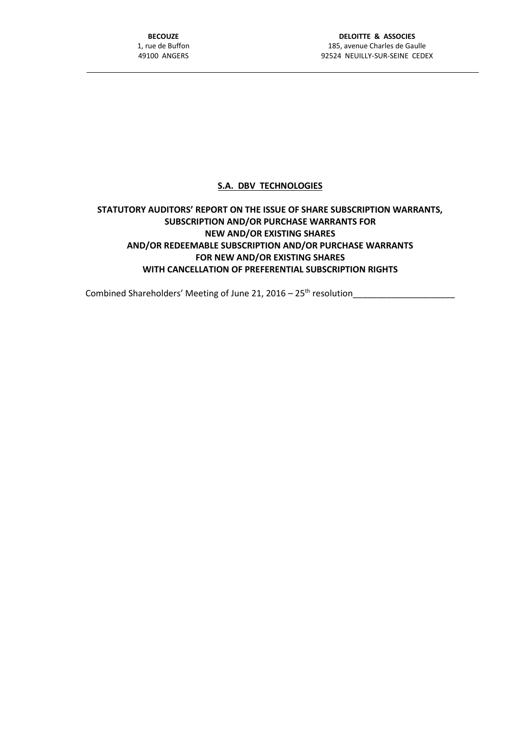## **S.A. DBV TECHNOLOGIES**

## **STATUTORY AUDITORS' REPORT ON THE ISSUE OF SHARE SUBSCRIPTION WARRANTS, SUBSCRIPTION AND/OR PURCHASE WARRANTS FOR NEW AND/OR EXISTING SHARES AND/OR REDEEMABLE SUBSCRIPTION AND/OR PURCHASE WARRANTS FOR NEW AND/OR EXISTING SHARES WITH CANCELLATION OF PREFERENTIAL SUBSCRIPTION RIGHTS**

Combined Shareholders' Meeting of June 21, 2016 – 25th resolution\_\_\_\_\_\_\_\_\_\_\_\_\_\_\_\_\_\_\_\_\_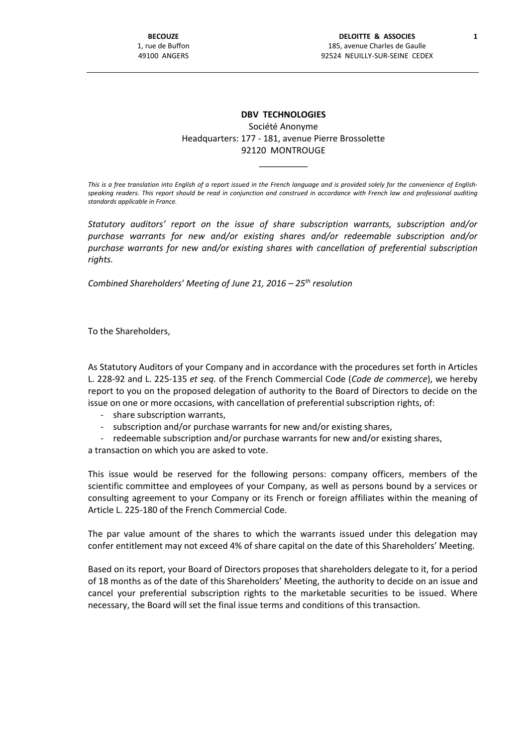## **DBV TECHNOLOGIES** Société Anonyme Headquarters: 177 - 181, avenue Pierre Brossolette 92120 MONTROUGE

*This is a free translation into English of a report issued in the French language and is provided solely for the convenience of Englishspeaking readers. This report should be read in conjunction and construed in accordance with French law and professional auditing standards applicable in France.*

\_\_\_\_\_\_\_\_\_\_

*Statutory auditors' report on the issue of share subscription warrants, subscription and/or purchase warrants for new and/or existing shares and/or redeemable subscription and/or purchase warrants for new and/or existing shares with cancellation of preferential subscription rights.*

*Combined Shareholders' Meeting of June 21, 2016 – 25th resolution*

To the Shareholders,

As Statutory Auditors of your Company and in accordance with the procedures set forth in Articles L. 228-92 and L. 225-135 *et seq.* of the French Commercial Code (*Code de commerce*), we hereby report to you on the proposed delegation of authority to the Board of Directors to decide on the issue on one or more occasions, with cancellation of preferential subscription rights, of:

- share subscription warrants,
- subscription and/or purchase warrants for new and/or existing shares,
- redeemable subscription and/or purchase warrants for new and/or existing shares,

a transaction on which you are asked to vote.

This issue would be reserved for the following persons: company officers, members of the scientific committee and employees of your Company, as well as persons bound by a services or consulting agreement to your Company or its French or foreign affiliates within the meaning of Article L. 225-180 of the French Commercial Code.

The par value amount of the shares to which the warrants issued under this delegation may confer entitlement may not exceed 4% of share capital on the date of this Shareholders' Meeting.

Based on its report, your Board of Directors proposes that shareholders delegate to it, for a period of 18 months as of the date of this Shareholders' Meeting, the authority to decide on an issue and cancel your preferential subscription rights to the marketable securities to be issued. Where necessary, the Board will set the final issue terms and conditions of this transaction.